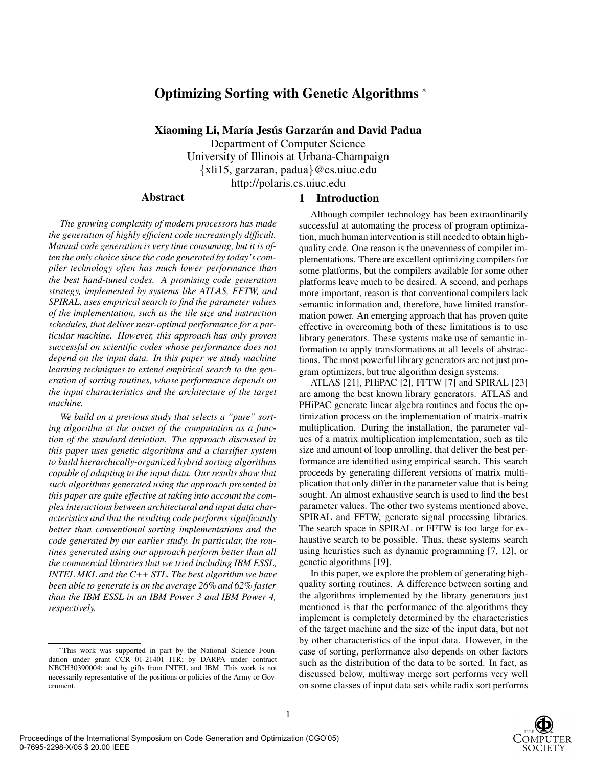# **Optimizing Sorting with Genetic Algorithms** <sup>∗</sup>

**Xiaoming Li, Mar´ıa Jesus Garzar ´ an and David Padua ´**

Department of Computer Science University of Illinois at Urbana-Champaign {xli15, garzaran, padua}@cs.uiuc.edu http://polaris.cs.uiuc.edu

### **Abstract**

*The growing complexity of modern processors has made the generation of highly efficient code increasingly difficult. Manual code generation is very time consuming, but it is often the only choice since the code generated by today's compiler technology often has much lower performance than the best hand-tuned codes. A promising code generation strategy, implemented by systems like ATLAS, FFTW, and SPIRAL, uses empirical search to find the parameter values of the implementation, such as the tile size and instruction schedules, that deliver near-optimal performance for a particular machine. However, this approach has only proven successful on scientific codes whose performance does not depend on the input data. In this paper we study machine learning techniques to extend empirical search to the generation of sorting routines, whose performance depends on the input characteristics and the architecture of the target machine.*

*We build on a previous study that selects a "pure" sorting algorithm at the outset of the computation as a function of the standard deviation. The approach discussed in this paper uses genetic algorithms and a classifier system to build hierarchically-organized hybrid sorting algorithms capable of adapting to the input data. Our results show that such algorithms generated using the approach presented in this paper are quite effective at taking into account the complex interactions between architectural and input data characteristics and that the resulting code performs significantly better than conventional sorting implementations and the code generated by our earlier study. In particular, the routines generated using our approach perform better than all the commercial libraries that we tried including IBM ESSL, INTEL MKL and the C++ STL. The best algorithm we have been able to generate is on the average 26% and 62% faster than the IBM ESSL in an IBM Power 3 and IBM Power 4, respectively.*

# **1 Introduction**

Although compiler technology has been extraordinarily successful at automating the process of program optimization, much human intervention is still needed to obtain highquality code. One reason is the unevenness of compiler implementations. There are excellent optimizing compilers for some platforms, but the compilers available for some other platforms leave much to be desired. A second, and perhaps more important, reason is that conventional compilers lack semantic information and, therefore, have limited transformation power. An emerging approach that has proven quite effective in overcoming both of these limitations is to use library generators. These systems make use of semantic information to apply transformations at all levels of abstractions. The most powerful library generators are not just program optimizers, but true algorithm design systems.

ATLAS [21], PHiPAC [2], FFTW [7] and SPIRAL [23] are among the best known library generators. ATLAS and PHiPAC generate linear algebra routines and focus the optimization process on the implementation of matrix-matrix multiplication. During the installation, the parameter values of a matrix multiplication implementation, such as tile size and amount of loop unrolling, that deliver the best performance are identified using empirical search. This search proceeds by generating different versions of matrix multiplication that only differ in the parameter value that is being sought. An almost exhaustive search is used to find the best parameter values. The other two systems mentioned above, SPIRAL and FFTW, generate signal processing libraries. The search space in SPIRAL or FFTW is too large for exhaustive search to be possible. Thus, these systems search using heuristics such as dynamic programming [7, 12], or genetic algorithms [19].

In this paper, we explore the problem of generating highquality sorting routines. A difference between sorting and the algorithms implemented by the library generators just mentioned is that the performance of the algorithms they implement is completely determined by the characteristics of the target machine and the size of the input data, but not by other characteristics of the input data. However, in the case of sorting, performance also depends on other factors such as the distribution of the data to be sorted. In fact, as discussed below, multiway merge sort performs very well on some classes of input data sets while radix sort performs



<sup>∗</sup>This work was supported in part by the National Science Foundation under grant CCR 01-21401 ITR; by DARPA under contract NBCH30390004; and by gifts from INTEL and IBM. This work is not necessarily representative of the positions or policies of the Army or Government.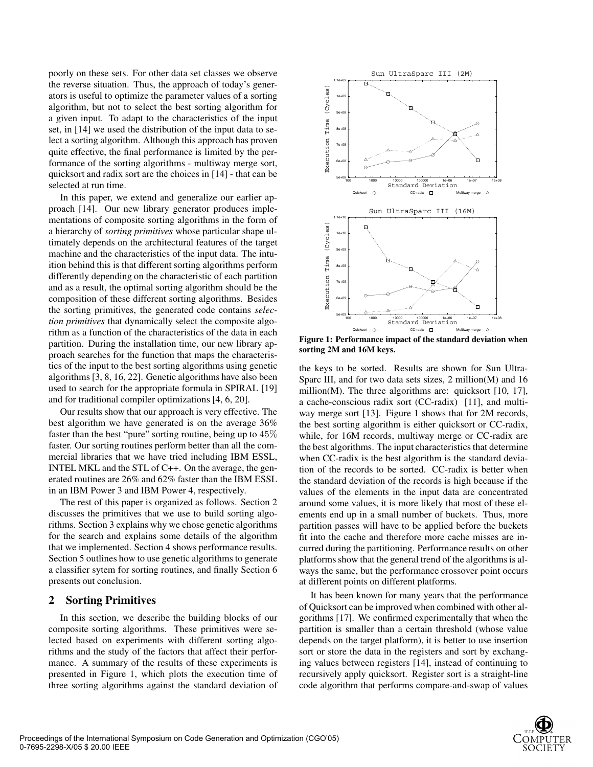poorly on these sets. For other data set classes we observe the reverse situation. Thus, the approach of today's generators is useful to optimize the parameter values of a sorting algorithm, but not to select the best sorting algorithm for a given input. To adapt to the characteristics of the input set, in [14] we used the distribution of the input data to select a sorting algorithm. Although this approach has proven quite effective, the final performance is limited by the performance of the sorting algorithms - multiway merge sort, quicksort and radix sort are the choices in [14] - that can be selected at run time.

In this paper, we extend and generalize our earlier approach [14]. Our new library generator produces implementations of composite sorting algorithms in the form of a hierarchy of *sorting primitives* whose particular shape ultimately depends on the architectural features of the target machine and the characteristics of the input data. The intuition behind this is that different sorting algorithms perform differently depending on the characteristic of each partition and as a result, the optimal sorting algorithm should be the composition of these different sorting algorithms. Besides the sorting primitives, the generated code contains *selection primitives* that dynamically select the composite algorithm as a function of the characteristics of the data in each partition. During the installation time, our new library approach searches for the function that maps the characteristics of the input to the best sorting algorithms using genetic algorithms [3, 8, 16, 22]. Genetic algorithms have also been used to search for the appropriate formula in SPIRAL [19] and for traditional compiler optimizations [4, 6, 20].

Our results show that our approach is very effective. The best algorithm we have generated is on the average 36% faster than the best "pure" sorting routine, being up to  $45\%$ faster. Our sorting routines perform better than all the commercial libraries that we have tried including IBM ESSL, INTEL MKL and the STL of C++. On the average, the generated routines are 26% and 62% faster than the IBM ESSL in an IBM Power 3 and IBM Power 4, respectively.

The rest of this paper is organized as follows. Section 2 discusses the primitives that we use to build sorting algorithms. Section 3 explains why we chose genetic algorithms for the search and explains some details of the algorithm that we implemented. Section 4 shows performance results. Section 5 outlines how to use genetic algorithms to generate a classifier sytem for sorting routines, and finally Section 6 presents out conclusion.

# **2 Sorting Primitives**

In this section, we describe the building blocks of our composite sorting algorithms. These primitives were selected based on experiments with different sorting algorithms and the study of the factors that affect their performance. A summary of the results of these experiments is presented in Figure 1, which plots the execution time of three sorting algorithms against the standard deviation of



**Figure 1: Performance impact of the standard deviation when sorting 2M and 16M keys.**

the keys to be sorted. Results are shown for Sun Ultra-Sparc III, and for two data sets sizes, 2 million(M) and 16 million(M). The three algorithms are: quicksort [10, 17], a cache-conscious radix sort (CC-radix) [11], and multiway merge sort [13]. Figure 1 shows that for 2M records, the best sorting algorithm is either quicksort or CC-radix, while, for 16M records, multiway merge or CC-radix are the best algorithms. The input characteristics that determine when CC-radix is the best algorithm is the standard deviation of the records to be sorted. CC-radix is better when the standard deviation of the records is high because if the values of the elements in the input data are concentrated around some values, it is more likely that most of these elements end up in a small number of buckets. Thus, more partition passes will have to be applied before the buckets fit into the cache and therefore more cache misses are incurred during the partitioning. Performance results on other platforms show that the general trend of the algorithms is always the same, but the performance crossover point occurs at different points on different platforms.

It has been known for many years that the performance of Quicksort can be improved when combined with other algorithms [17]. We confirmed experimentally that when the partition is smaller than a certain threshold (whose value depends on the target platform), it is better to use insertion sort or store the data in the registers and sort by exchanging values between registers [14], instead of continuing to recursively apply quicksort. Register sort is a straight-line code algorithm that performs compare-and-swap of values

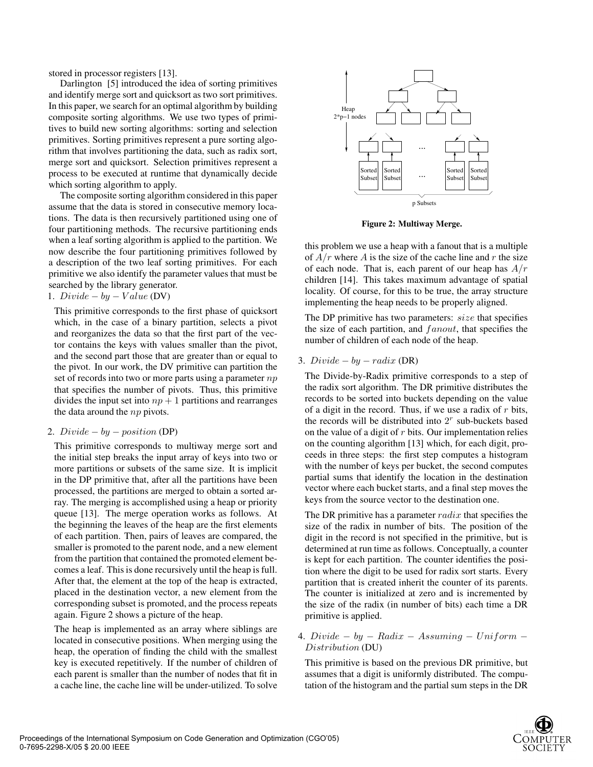stored in processor registers [13].

Darlington [5] introduced the idea of sorting primitives and identify merge sort and quicksort as two sort primitives. In this paper, we search for an optimal algorithm by building composite sorting algorithms. We use two types of primitives to build new sorting algorithms: sorting and selection primitives. Sorting primitives represent a pure sorting algorithm that involves partitioning the data, such as radix sort, merge sort and quicksort. Selection primitives represent a process to be executed at runtime that dynamically decide which sorting algorithm to apply.

The composite sorting algorithm considered in this paper assume that the data is stored in consecutive memory locations. The data is then recursively partitioned using one of four partitioning methods. The recursive partitioning ends when a leaf sorting algorithm is applied to the partition. We now describe the four partitioning primitives followed by a description of the two leaf sorting primitives. For each primitive we also identify the parameter values that must be searched by the library generator.

1.  $Divide - by - Value (DV)$ 

This primitive corresponds to the first phase of quicksort which, in the case of a binary partition, selects a pivot and reorganizes the data so that the first part of the vector contains the keys with values smaller than the pivot, and the second part those that are greater than or equal to the pivot. In our work, the DV primitive can partition the set of records into two or more parts using a parameter  $np$ that specifies the number of pivots. Thus, this primitive divides the input set into  $np + 1$  partitions and rearranges the data around the  $np$  pivots.

### 2.  $Divide - by - position (DP)$

This primitive corresponds to multiway merge sort and the initial step breaks the input array of keys into two or more partitions or subsets of the same size. It is implicit in the DP primitive that, after all the partitions have been processed, the partitions are merged to obtain a sorted array. The merging is accomplished using a heap or priority queue [13]. The merge operation works as follows. At the beginning the leaves of the heap are the first elements of each partition. Then, pairs of leaves are compared, the smaller is promoted to the parent node, and a new element from the partition that contained the promoted element becomes a leaf. This is done recursively until the heap is full. After that, the element at the top of the heap is extracted, placed in the destination vector, a new element from the corresponding subset is promoted, and the process repeats again. Figure 2 shows a picture of the heap.

The heap is implemented as an array where siblings are located in consecutive positions. When merging using the heap, the operation of finding the child with the smallest key is executed repetitively. If the number of children of each parent is smaller than the number of nodes that fit in a cache line, the cache line will be under-utilized. To solve



**Figure 2: Multiway Merge.**

this problem we use a heap with a fanout that is a multiple of  $A/r$  where A is the size of the cache line and r the size of each node. That is, each parent of our heap has  $A/r$ children [14]. This takes maximum advantage of spatial locality. Of course, for this to be true, the array structure implementing the heap needs to be properly aligned.

The DP primitive has two parameters: size that specifies the size of each partition, and  $fanout$ , that specifies the number of children of each node of the heap.

# 3.  $Divide - by - radix$  (DR)

The Divide-by-Radix primitive corresponds to a step of the radix sort algorithm. The DR primitive distributes the records to be sorted into buckets depending on the value of a digit in the record. Thus, if we use a radix of  $r$  bits, the records will be distributed into  $2<sup>r</sup>$  sub-buckets based on the value of a digit of  $r$  bits. Our implementation relies on the counting algorithm [13] which, for each digit, proceeds in three steps: the first step computes a histogram with the number of keys per bucket, the second computes partial sums that identify the location in the destination vector where each bucket starts, and a final step moves the keys from the source vector to the destination one.

The DR primitive has a parameter  $radix$  that specifies the size of the radix in number of bits. The position of the digit in the record is not specified in the primitive, but is determined at run time as follows. Conceptually, a counter is kept for each partition. The counter identifies the position where the digit to be used for radix sort starts. Every partition that is created inherit the counter of its parents. The counter is initialized at zero and is incremented by the size of the radix (in number of bits) each time a DR primitive is applied.

# 4. Divide  $- by - Radix - Assuming - Uniform -$ Distribution (DU)

This primitive is based on the previous DR primitive, but assumes that a digit is uniformly distributed. The computation of the histogram and the partial sum steps in the DR

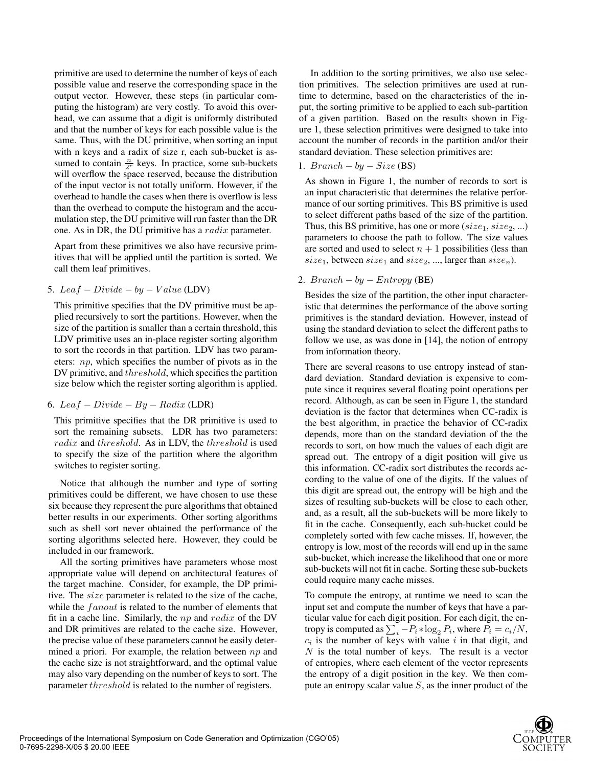primitive are used to determine the number of keys of each possible value and reserve the corresponding space in the output vector. However, these steps (in particular computing the histogram) are very costly. To avoid this overhead, we can assume that a digit is uniformly distributed and that the number of keys for each possible value is the same. Thus, with the DU primitive, when sorting an input with n keys and a radix of size r, each sub-bucket is assumed to contain  $\frac{n}{2^r}$  keys. In practice, some sub-buckets will overflow the space reserved, because the distribution of the input vector is not totally uniform. However, if the overhead to handle the cases when there is overflow is less than the overhead to compute the histogram and the accumulation step, the DU primitive will run faster than the DR one. As in DR, the DU primitive has a radix parameter.

Apart from these primitives we also have recursive primitives that will be applied until the partition is sorted. We call them leaf primitives.

#### 5. Leaf – Divide – by – Value (LDV)

This primitive specifies that the DV primitive must be applied recursively to sort the partitions. However, when the size of the partition is smaller than a certain threshold, this LDV primitive uses an in-place register sorting algorithm to sort the records in that partition. LDV has two parameters: np, which specifies the number of pivots as in the DV primitive, and threshold, which specifies the partition size below which the register sorting algorithm is applied.

### 6. Leaf – Divide – By – Radix (LDR)

This primitive specifies that the DR primitive is used to sort the remaining subsets. LDR has two parameters: radix and threshold. As in LDV, the threshold is used to specify the size of the partition where the algorithm switches to register sorting.

Notice that although the number and type of sorting primitives could be different, we have chosen to use these six because they represent the pure algorithms that obtained better results in our experiments. Other sorting algorithms such as shell sort never obtained the performance of the sorting algorithms selected here. However, they could be included in our framework.

All the sorting primitives have parameters whose most appropriate value will depend on architectural features of the target machine. Consider, for example, the DP primitive. The size parameter is related to the size of the cache, while the  $fanout$  is related to the number of elements that fit in a cache line. Similarly, the  $np$  and  $radix$  of the DV and DR primitives are related to the cache size. However, the precise value of these parameters cannot be easily determined a priori. For example, the relation between  $np$  and the cache size is not straightforward, and the optimal value may also vary depending on the number of keys to sort. The parameter threshold is related to the number of registers.

In addition to the sorting primitives, we also use selection primitives. The selection primitives are used at runtime to determine, based on the characteristics of the input, the sorting primitive to be applied to each sub-partition of a given partition. Based on the results shown in Figure 1, these selection primitives were designed to take into account the number of records in the partition and/or their standard deviation. These selection primitives are:

1. Branch  $- by - Size$  (BS)

As shown in Figure 1, the number of records to sort is an input characteristic that determines the relative performance of our sorting primitives. This BS primitive is used to select different paths based of the size of the partition. Thus, this BS primitive, has one or more  $(size_1, size_2, ...)$ parameters to choose the path to follow. The size values are sorted and used to select  $n + 1$  possibilities (less than  $size_1$ , between  $size_1$  and  $size_2$ , ..., larger than  $size_n$ ).

#### 2. Branch  $- by - Entropy$  (BE)

Besides the size of the partition, the other input characteristic that determines the performance of the above sorting primitives is the standard deviation. However, instead of using the standard deviation to select the different paths to follow we use, as was done in [14], the notion of entropy from information theory.

There are several reasons to use entropy instead of standard deviation. Standard deviation is expensive to compute since it requires several floating point operations per record. Although, as can be seen in Figure 1, the standard deviation is the factor that determines when CC-radix is the best algorithm, in practice the behavior of CC-radix depends, more than on the standard deviation of the the records to sort, on how much the values of each digit are spread out. The entropy of a digit position will give us this information. CC-radix sort distributes the records according to the value of one of the digits. If the values of this digit are spread out, the entropy will be high and the sizes of resulting sub-buckets will be close to each other, and, as a result, all the sub-buckets will be more likely to fit in the cache. Consequently, each sub-bucket could be completely sorted with few cache misses. If, however, the entropy is low, most of the records will end up in the same sub-bucket, which increase the likelihood that one or more sub-buckets will not fit in cache. Sorting these sub-buckets could require many cache misses.

To compute the entropy, at runtime we need to scan the input set and compute the number of keys that have a particular value for each digit position. For each digit, the entropy is computed as  $\sum_i -P_i * \log_2 P_i$ , where  $P_i = c_i/N$ ,  $c_i$  is the number of keys with value *i* in that digit and  $c_i$  is the number of keys with value i in that digit, and  $N$  is the total number of keys. The result is a vector of entropies, where each element of the vector represents the entropy of a digit position in the key. We then compute an entropy scalar value  $S$ , as the inner product of the

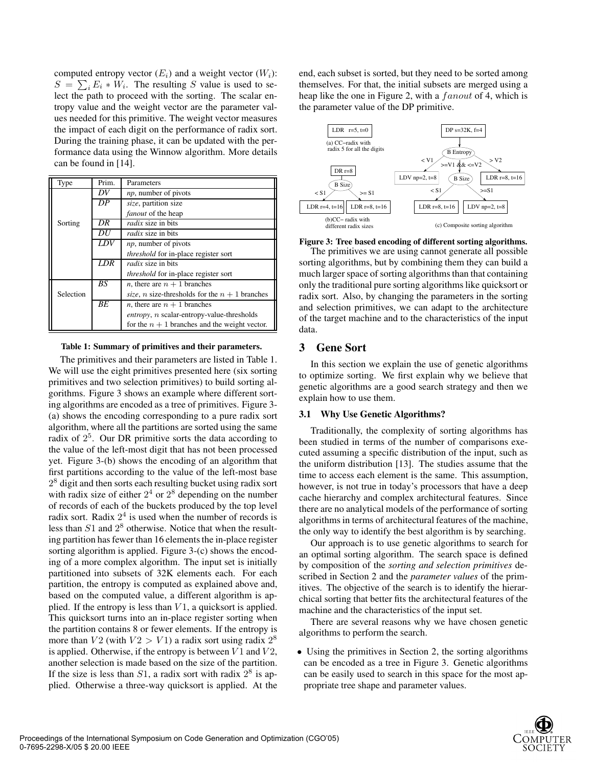computed entropy vector  $(E_i)$  and a weight vector  $(W_i)$ :  $S = \sum_i E_i * W_i$ . The resulting S value is used to se-<br>lect the path to proceed with the sorting. The scalar enlect the path to proceed with the sorting. The scalar entropy value and the weight vector are the parameter values needed for this primitive. The weight vector measures the impact of each digit on the performance of radix sort. During the training phase, it can be updated with the performance data using the Winnow algorithm. More details can be found in [14].

| Type      | Prim. | Parameters                                              |  |  |  |
|-----------|-------|---------------------------------------------------------|--|--|--|
|           | DV    | <i>np</i> , number of pivots                            |  |  |  |
|           | DP    | size, partition size                                    |  |  |  |
|           |       | <i>fanout</i> of the heap                               |  |  |  |
| Sorting   | DR    | <i>radix</i> size in bits                               |  |  |  |
|           | DU    | <i>radix</i> size in bits                               |  |  |  |
|           | LDV   | <i>np</i> , number of pivots                            |  |  |  |
|           |       | <i>threshold</i> for in-place register sort             |  |  |  |
|           | I DR  | <i>radix</i> size in bits                               |  |  |  |
|           |       | <i>threshold</i> for in-place register sort             |  |  |  |
|           | ВS    | <i>n</i> , there are $n + 1$ branches                   |  |  |  |
| Selection |       | size, <i>n</i> size-thresholds for the $n + 1$ branches |  |  |  |
|           | ВE    | <i>n</i> , there are $n + 1$ branches                   |  |  |  |
|           |       | $entropy, n$ scalar-entropy-value-thresholds            |  |  |  |
|           |       | for the $n + 1$ branches and the weight vector.         |  |  |  |

#### **Table 1: Summary of primitives and their parameters.**

The primitives and their parameters are listed in Table 1. We will use the eight primitives presented here (six sorting primitives and two selection primitives) to build sorting algorithms. Figure 3 shows an example where different sorting algorithms are encoded as a tree of primitives. Figure 3- (a) shows the encoding corresponding to a pure radix sort algorithm, where all the partitions are sorted using the same radix of  $2<sup>5</sup>$ . Our DR primitive sorts the data according to the value of the left-most digit that has not been processed yet. Figure 3-(b) shows the encoding of an algorithm that first partitions according to the value of the left-most base  $2<sup>8</sup>$  digit and then sorts each resulting bucket using radix sort with radix size of either  $2<sup>4</sup>$  or  $2<sup>8</sup>$  depending on the number of records of each of the buckets produced by the top level radix sort. Radix  $2<sup>4</sup>$  is used when the number of records is less than  $S1$  and  $2<sup>8</sup>$  otherwise. Notice that when the resulting partition has fewer than 16 elements the in-place register sorting algorithm is applied. Figure 3-(c) shows the encoding of a more complex algorithm. The input set is initially partitioned into subsets of 32K elements each. For each partition, the entropy is computed as explained above and, based on the computed value, a different algorithm is applied. If the entropy is less than  $V1$ , a quicksort is applied. This quicksort turns into an in-place register sorting when the partition contains 8 or fewer elements. If the entropy is more than  $V2$  (with  $V2 > V1$ ) a radix sort using radix  $2^8$ is applied. Otherwise, if the entropy is between  $V1$  and  $V2$ , another selection is made based on the size of the partition. If the size is less than  $S1$ , a radix sort with radix  $2^8$  is applied. Otherwise a three-way quicksort is applied. At the

end, each subset is sorted, but they need to be sorted among themselves. For that, the initial subsets are merged using a heap like the one in Figure 2, with a  $fanout$  of 4, which is the parameter value of the DP primitive.



**Figure 3: Tree based encoding of different sorting algorithms.** The primitives we are using cannot generate all possible sorting algorithms, but by combining them they can build a much larger space of sorting algorithms than that containing only the traditional pure sorting algorithms like quicksort or radix sort. Also, by changing the parameters in the sorting and selection primitives, we can adapt to the architecture of the target machine and to the characteristics of the input data.

#### **3 Gene Sort**

In this section we explain the use of genetic algorithms to optimize sorting. We first explain why we believe that genetic algorithms are a good search strategy and then we explain how to use them.

#### **3.1 Why Use Genetic Algorithms?**

Traditionally, the complexity of sorting algorithms has been studied in terms of the number of comparisons executed assuming a specific distribution of the input, such as the uniform distribution [13]. The studies assume that the time to access each element is the same. This assumption, however, is not true in today's processors that have a deep cache hierarchy and complex architectural features. Since there are no analytical models of the performance of sorting algorithms in terms of architectural features of the machine, the only way to identify the best algorithm is by searching.

Our approach is to use genetic algorithms to search for an optimal sorting algorithm. The search space is defined by composition of the *sorting and selection primitives* described in Section 2 and the *parameter values* of the primitives. The objective of the search is to identify the hierarchical sorting that better fits the architectural features of the machine and the characteristics of the input set.

There are several reasons why we have chosen genetic algorithms to perform the search.

• Using the primitives in Section 2, the sorting algorithms can be encoded as a tree in Figure 3. Genetic algorithms can be easily used to search in this space for the most appropriate tree shape and parameter values.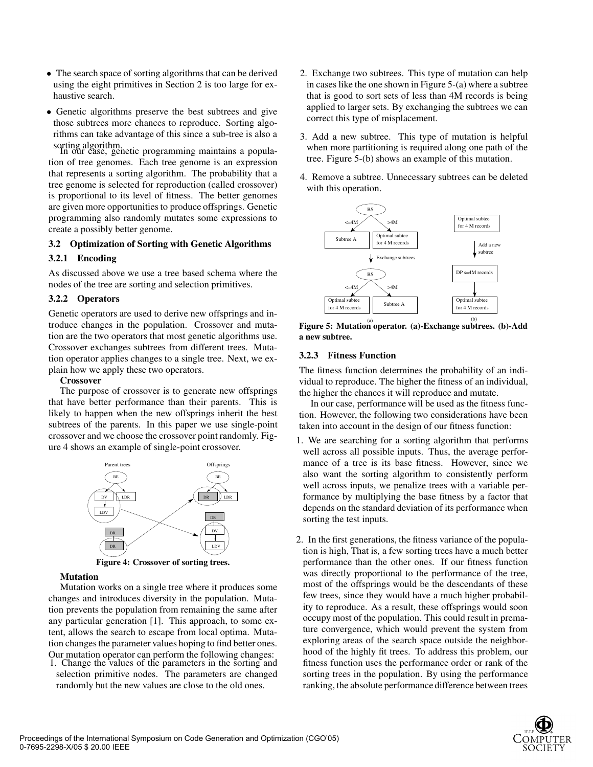- The search space of sorting algorithms that can be derived using the eight primitives in Section 2 is too large for exhaustive search.
- Genetic algorithms preserve the best subtrees and give those subtrees more chances to reproduce. Sorting algorithms can take advantage of this since a sub-tree is also a

sorting algorithm.<br>In our case, genetic programming maintains a population of tree genomes. Each tree genome is an expression that represents a sorting algorithm. The probability that a tree genome is selected for reproduction (called crossover) is proportional to its level of fitness. The better genomes are given more opportunities to produce offsprings. Genetic programming also randomly mutates some expressions to create a possibly better genome.

#### **3.2 Optimization of Sorting with Genetic Algorithms**

### **3.2.1 Encoding**

As discussed above we use a tree based schema where the nodes of the tree are sorting and selection primitives.

### **3.2.2 Operators**

Genetic operators are used to derive new offsprings and introduce changes in the population. Crossover and mutation are the two operators that most genetic algorithms use. Crossover exchanges subtrees from different trees. Mutation operator applies changes to a single tree. Next, we explain how we apply these two operators.

#### **Crossover**

The purpose of crossover is to generate new offsprings that have better performance than their parents. This is likely to happen when the new offsprings inherit the best subtrees of the parents. In this paper we use single-point crossover and we choose the crossover point randomly. Figure 4 shows an example of single-point crossover.



#### **Mutation**

Mutation works on a single tree where it produces some changes and introduces diversity in the population. Mutation prevents the population from remaining the same after any particular generation [1]. This approach, to some extent, allows the search to escape from local optima. Mutation changes the parameter values hoping to find better ones. Our mutation operator can perform the following changes:

1. Change the values of the parameters in the sorting and selection primitive nodes. The parameters are changed randomly but the new values are close to the old ones.

- 2. Exchange two subtrees. This type of mutation can help in cases like the one shown in Figure 5-(a) where a subtree that is good to sort sets of less than 4M records is being applied to larger sets. By exchanging the subtrees we can correct this type of misplacement.
- 3. Add a new subtree. This type of mutation is helpful when more partitioning is required along one path of the tree. Figure 5-(b) shows an example of this mutation.
- 4. Remove a subtree. Unnecessary subtrees can be deleted with this operation.



(a) (b) **Figure 5: Mutation operator. (a)-Exchange subtrees. (b)-Add a new subtree.**

#### **3.2.3 Fitness Function**

The fitness function determines the probability of an individual to reproduce. The higher the fitness of an individual, the higher the chances it will reproduce and mutate.

In our case, performance will be used as the fitness function. However, the following two considerations have been taken into account in the design of our fitness function:

- 1. We are searching for a sorting algorithm that performs well across all possible inputs. Thus, the average performance of a tree is its base fitness. However, since we also want the sorting algorithm to consistently perform well across inputs, we penalize trees with a variable performance by multiplying the base fitness by a factor that depends on the standard deviation of its performance when sorting the test inputs.
- 2. In the first generations, the fitness variance of the population is high, That is, a few sorting trees have a much better performance than the other ones. If our fitness function was directly proportional to the performance of the tree, most of the offsprings would be the descendants of these few trees, since they would have a much higher probability to reproduce. As a result, these offsprings would soon occupy most of the population. This could result in premature convergence, which would prevent the system from exploring areas of the search space outside the neighborhood of the highly fit trees. To address this problem, our fitness function uses the performance order or rank of the sorting trees in the population. By using the performance ranking, the absolute performance difference between trees

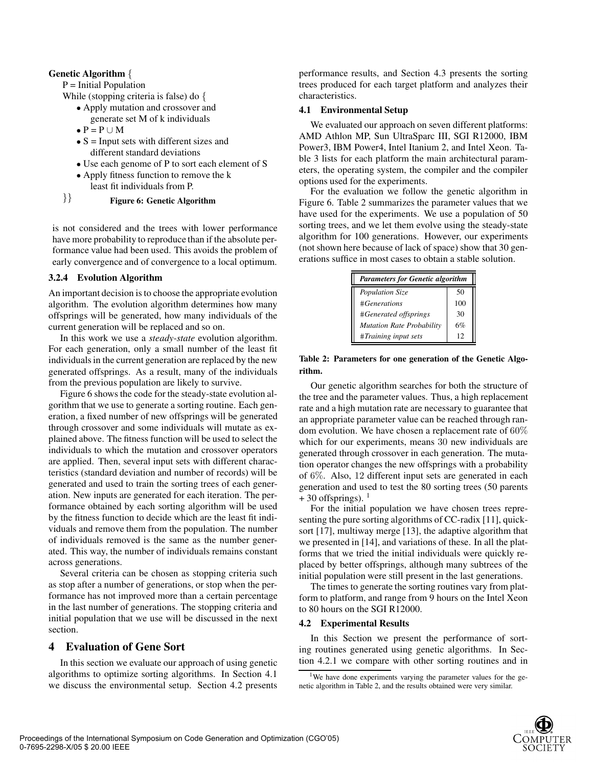### **Genetic Algorithm** {

 $P =$  Initial Population

While (stopping criteria is false) do {

- Apply mutation and crossover and generate set M of k individuals
- $\bullet$  P = P  $\cup$  M
- $\bullet$  S = Input sets with different sizes and different standard deviations
- Use each genome of P to sort each element of S
- Apply fitness function to remove the k least fit individuals from P.

}} **Figure 6: Genetic Algorithm**

is not considered and the trees with lower performance have more probability to reproduce than if the absolute performance value had been used. This avoids the problem of early convergence and of convergence to a local optimum.

### **3.2.4 Evolution Algorithm**

An important decision is to choose the appropriate evolution algorithm. The evolution algorithm determines how many offsprings will be generated, how many individuals of the current generation will be replaced and so on.

In this work we use a *steady-state* evolution algorithm. For each generation, only a small number of the least fit individuals in the current generation are replaced by the new generated offsprings. As a result, many of the individuals from the previous population are likely to survive.

Figure 6 shows the code for the steady-state evolution algorithm that we use to generate a sorting routine. Each generation, a fixed number of new offsprings will be generated through crossover and some individuals will mutate as explained above. The fitness function will be used to select the individuals to which the mutation and crossover operators are applied. Then, several input sets with different characteristics (standard deviation and number of records) will be generated and used to train the sorting trees of each generation. New inputs are generated for each iteration. The performance obtained by each sorting algorithm will be used by the fitness function to decide which are the least fit individuals and remove them from the population. The number of individuals removed is the same as the number generated. This way, the number of individuals remains constant across generations.

Several criteria can be chosen as stopping criteria such as stop after a number of generations, or stop when the performance has not improved more than a certain percentage in the last number of generations. The stopping criteria and initial population that we use will be discussed in the next section.

# **4 Evaluation of Gene Sort**

In this section we evaluate our approach of using genetic algorithms to optimize sorting algorithms. In Section 4.1 we discuss the environmental setup. Section 4.2 presents performance results, and Section 4.3 presents the sorting trees produced for each target platform and analyzes their characteristics.

### **4.1 Environmental Setup**

We evaluated our approach on seven different platforms: AMD Athlon MP, Sun UltraSparc III, SGI R12000, IBM Power3, IBM Power4, Intel Itanium 2, and Intel Xeon. Table 3 lists for each platform the main architectural parameters, the operating system, the compiler and the compiler options used for the experiments.

For the evaluation we follow the genetic algorithm in Figure 6. Table 2 summarizes the parameter values that we have used for the experiments. We use a population of 50 sorting trees, and we let them evolve using the steady-state algorithm for 100 generations. However, our experiments (not shown here because of lack of space) show that 30 generations suffice in most cases to obtain a stable solution.

| <b>Parameters for Genetic algorithm</b> |     |  |  |  |
|-----------------------------------------|-----|--|--|--|
| Population Size                         | 50  |  |  |  |
| #Generations                            | 100 |  |  |  |
| #Generated offsprings                   | 30  |  |  |  |
| <b>Mutation Rate Probability</b>        | 6%  |  |  |  |
| #Training input sets                    | 12  |  |  |  |

**Table 2: Parameters for one generation of the Genetic Algorithm.**

Our genetic algorithm searches for both the structure of the tree and the parameter values. Thus, a high replacement rate and a high mutation rate are necessary to guarantee that an appropriate parameter value can be reached through random evolution. We have chosen a replacement rate of 60% which for our experiments, means 30 new individuals are generated through crossover in each generation. The mutation operator changes the new offsprings with a probability of 6%. Also, 12 different input sets are generated in each generation and used to test the 80 sorting trees (50 parents  $+30$  offsprings).  $<sup>1</sup>$ </sup>

For the initial population we have chosen trees representing the pure sorting algorithms of CC-radix [11], quicksort [17], multiway merge [13], the adaptive algorithm that we presented in [14], and variations of these. In all the platforms that we tried the initial individuals were quickly replaced by better offsprings, although many subtrees of the initial population were still present in the last generations.

The times to generate the sorting routines vary from platform to platform, and range from 9 hours on the Intel Xeon to 80 hours on the SGI R12000.

# **4.2 Experimental Results**

In this Section we present the performance of sorting routines generated using genetic algorithms. In Section 4.2.1 we compare with other sorting routines and in

<sup>&</sup>lt;sup>1</sup>We have done experiments varying the parameter values for the genetic algorithm in Table 2, and the results obtained were very similar.

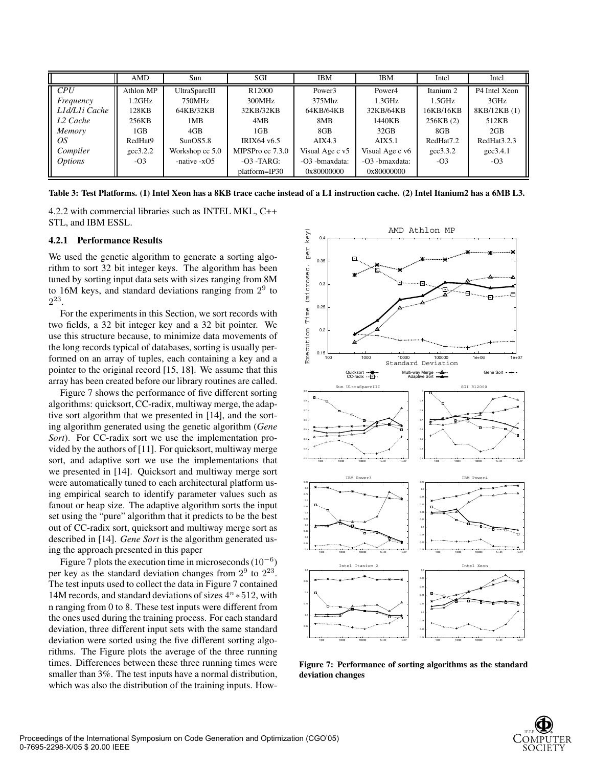|                      | AMD               | Sun             | SGI                | <b>IBM</b>      | <b>IBM</b>      | Intel             | Intel         |
|----------------------|-------------------|-----------------|--------------------|-----------------|-----------------|-------------------|---------------|
| CPU                  | Athlon MP         | UltraSparcIII   | R <sub>12000</sub> | Power3          | Power4          | Itanium 2         | P4 Intel Xeon |
| Frequency            | 1.2GHz            | 750MHz          | 300MHz             | 375Mhz          | 1.3GHz          | 1.5GHz            | 3GHz          |
| LId/LIi Cache        | 128KB             | 64KB/32KB       | 32KB/32KB          | 64KB/64KB       | 32KB/64KB       | 16KB/16KB         | 8KB/12KB (1)  |
| L <sub>2</sub> Cache | 256KB             | 1MB             | 4MB                | 8MB             | 1440KB          | 256KB (2)         | 512KB         |
| <b>Memory</b>        | 1GB               | 4 <sub>GB</sub> | 1GB                | 8GB             | $32$ GB         | 8GB               | 2GB           |
| OS.                  | RedHat9           | SunOS5.8        | IRIX64 v6.5        | AIX4.3          | AIX5.1          | RedHat7.2         | RedHat3.2.3   |
| Compiler             | $\text{gcc}3.2.2$ | Workshop cc 5.0 | MIPSPro cc 7.3.0   | Visual Age c v5 | Visual Age c v6 | $\text{gcc}3.3.2$ | $\gcd(3.4.1)$ |
| <i>Options</i>       | $-O3$             | -native $-xO5$  | $-O3 - TARG:$      | -O3 -bmaxdata:  | -O3 -bmaxdata:  | $-O3$             | $-O3$         |
|                      |                   |                 | platform=IP30      | 0x80000000      | 0x80000000      |                   |               |

**Table 3: Test Platforms. (1) Intel Xeon has a 8KB trace cache instead of a L1 instruction cache. (2) Intel Itanium2 has a 6MB L3.**

4.2.2 with commercial libraries such as INTEL MKL, C++ STL, and IBM ESSL.

### **4.2.1 Performance Results**

We used the genetic algorithm to generate a sorting algorithm to sort 32 bit integer keys. The algorithm has been tuned by sorting input data sets with sizes ranging from 8M to 16M keys, and standard deviations ranging from  $2^9$  to 223.

For the experiments in this Section, we sort records with two fields, a 32 bit integer key and a 32 bit pointer. We use this structure because, to minimize data movements of the long records typical of databases, sorting is usually performed on an array of tuples, each containing a key and a pointer to the original record [15, 18]. We assume that this array has been created before our library routines are called.

Figure 7 shows the performance of five different sorting algorithms: quicksort, CC-radix, multiway merge, the adaptive sort algorithm that we presented in [14], and the sorting algorithm generated using the genetic algorithm (*Gene Sort*). For CC-radix sort we use the implementation provided by the authors of [11]. For quicksort, multiway merge sort, and adaptive sort we use the implementations that we presented in [14]. Quicksort and multiway merge sort were automatically tuned to each architectural platform using empirical search to identify parameter values such as fanout or heap size. The adaptive algorithm sorts the input set using the "pure" algorithm that it predicts to be the best out of CC-radix sort, quicksort and multiway merge sort as described in [14]. *Gene Sort* is the algorithm generated using the approach presented in this paper

Figure 7 plots the execution time in microseconds  $(10^{-6})$ per key as the standard deviation changes from  $2^9$  to  $2^{23}$ . The test inputs used to collect the data in Figure 7 contained 14M records, and standard deviations of sizes  $4^n * 512$ , with n ranging from 0 to 8. These test inputs were different from the ones used during the training process. For each standard deviation, three different input sets with the same standard deviation were sorted using the five different sorting algorithms. The Figure plots the average of the three running times. Differences between these three running times were smaller than 3%. The test inputs have a normal distribution, which was also the distribution of the training inputs. How-



**Figure 7: Performance of sorting algorithms as the standard deviation changes**

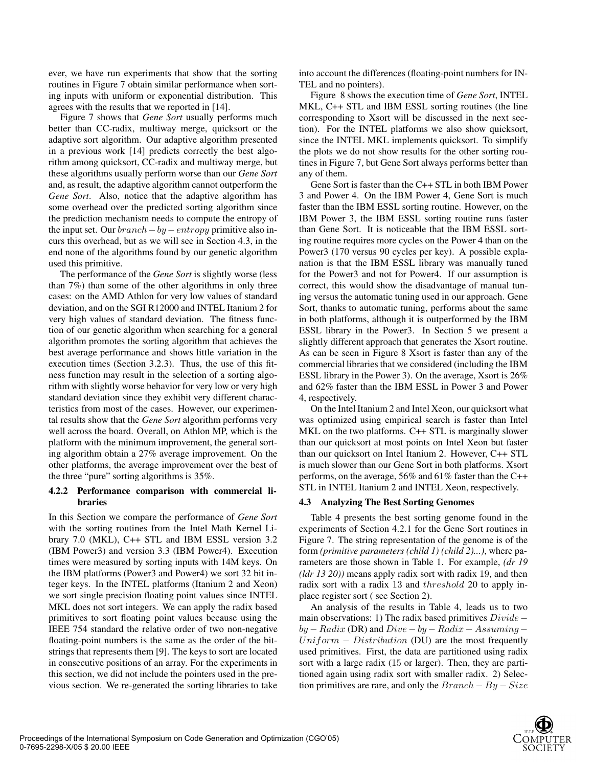ever, we have run experiments that show that the sorting routines in Figure 7 obtain similar performance when sorting inputs with uniform or exponential distribution. This agrees with the results that we reported in [14].

Figure 7 shows that *Gene Sort* usually performs much better than CC-radix, multiway merge, quicksort or the adaptive sort algorithm. Our adaptive algorithm presented in a previous work [14] predicts correctly the best algorithm among quicksort, CC-radix and multiway merge, but these algorithms usually perform worse than our *Gene Sort* and, as result, the adaptive algorithm cannot outperform the *Gene Sort*. Also, notice that the adaptive algorithm has some overhead over the predicted sorting algorithm since the prediction mechanism needs to compute the entropy of the input set. Our  $branch-by-entropy$  primitive also incurs this overhead, but as we will see in Section 4.3, in the end none of the algorithms found by our genetic algorithm used this primitive.

The performance of the *Gene Sort* is slightly worse (less than 7%) than some of the other algorithms in only three cases: on the AMD Athlon for very low values of standard deviation, and on the SGI R12000 and INTEL Itanium 2 for very high values of standard deviation. The fitness function of our genetic algorithm when searching for a general algorithm promotes the sorting algorithm that achieves the best average performance and shows little variation in the execution times (Section 3.2.3). Thus, the use of this fitness function may result in the selection of a sorting algorithm with slightly worse behavior for very low or very high standard deviation since they exhibit very different characteristics from most of the cases. However, our experimental results show that the *Gene Sort* algorithm performs very well across the board. Overall, on Athlon MP, which is the platform with the minimum improvement, the general sorting algorithm obtain a 27% average improvement. On the other platforms, the average improvement over the best of the three "pure" sorting algorithms is 35%.

#### **4.2.2 Performance comparison with commercial libraries**

In this Section we compare the performance of *Gene Sort* with the sorting routines from the Intel Math Kernel Library 7.0 (MKL), C++ STL and IBM ESSL version 3.2 (IBM Power3) and version 3.3 (IBM Power4). Execution times were measured by sorting inputs with 14M keys. On the IBM platforms (Power3 and Power4) we sort 32 bit integer keys. In the INTEL platforms (Itanium 2 and Xeon) we sort single precision floating point values since INTEL MKL does not sort integers. We can apply the radix based primitives to sort floating point values because using the IEEE 754 standard the relative order of two non-negative floating-point numbers is the same as the order of the bitstrings that represents them [9]. The keys to sort are located in consecutive positions of an array. For the experiments in this section, we did not include the pointers used in the previous section. We re-generated the sorting libraries to take

into account the differences (floating-point numbers for IN-TEL and no pointers).

Figure 8 shows the execution time of *Gene Sort*, INTEL MKL, C++ STL and IBM ESSL sorting routines (the line corresponding to Xsort will be discussed in the next section). For the INTEL platforms we also show quicksort, since the INTEL MKL implements quicksort. To simplify the plots we do not show results for the other sorting routines in Figure 7, but Gene Sort always performs better than any of them.

Gene Sort is faster than the C++ STL in both IBM Power 3 and Power 4. On the IBM Power 4, Gene Sort is much faster than the IBM ESSL sorting routine. However, on the IBM Power 3, the IBM ESSL sorting routine runs faster than Gene Sort. It is noticeable that the IBM ESSL sorting routine requires more cycles on the Power 4 than on the Power3 (170 versus 90 cycles per key). A possible explanation is that the IBM ESSL library was manually tuned for the Power3 and not for Power4. If our assumption is correct, this would show the disadvantage of manual tuning versus the automatic tuning used in our approach. Gene Sort, thanks to automatic tuning, performs about the same in both platforms, although it is outperformed by the IBM ESSL library in the Power3. In Section 5 we present a slightly different approach that generates the Xsort routine. As can be seen in Figure 8 Xsort is faster than any of the commercial libraries that we considered (including the IBM ESSL library in the Power 3). On the average, Xsort is 26% and 62% faster than the IBM ESSL in Power 3 and Power 4, respectively.

On the Intel Itanium 2 and Intel Xeon, our quicksort what was optimized using empirical search is faster than Intel MKL on the two platforms. C++ STL is marginally slower than our quicksort at most points on Intel Xeon but faster than our quicksort on Intel Itanium 2. However, C++ STL is much slower than our Gene Sort in both platforms. Xsort performs, on the average, 56% and 61% faster than the C++ STL in INTEL Itanium 2 and INTEL Xeon, respectively.

#### **4.3 Analyzing The Best Sorting Genomes**

Table 4 presents the best sorting genome found in the experiments of Section 4.2.1 for the Gene Sort routines in Figure 7. The string representation of the genome is of the form *(primitive parameters (child 1) (child 2)...)*, where parameters are those shown in Table 1. For example, *(dr 19 (ldr 13 20))* means apply radix sort with radix 19, and then radix sort with a radix 13 and threshold 20 to apply inplace register sort ( see Section 2).

An analysis of the results in Table 4, leads us to two main observations: 1) The radix based primitives  $Divide$  $by - Radix$  (DR) and  $Dive - by - Radix - Assuming Uniform - Distribution (DU)$  are the most frequently used primitives. First, the data are partitioned using radix sort with a large radix (15 or larger). Then, they are partitioned again using radix sort with smaller radix. 2) Selection primitives are rare, and only the  $Branch - By - Size$ 

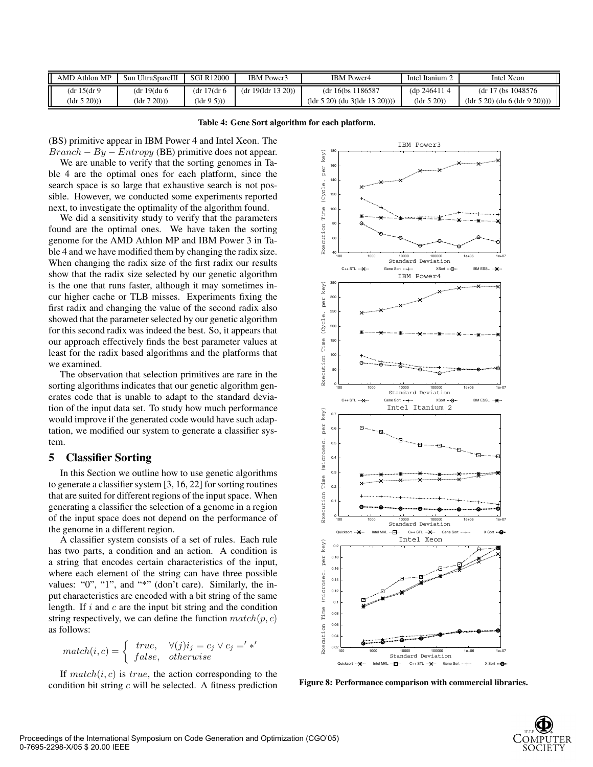| AMD Athlon MP | Sun UltraSparcIII | <b>SGI R12000</b> | <b>IBM</b> Power3      | <b>IBM</b> Power4                                           | Intel Itanium 2 | Intel Xeon                                                 |
|---------------|-------------------|-------------------|------------------------|-------------------------------------------------------------|-----------------|------------------------------------------------------------|
| (dr 15(dr 9)  | (dr 19(du 6       | (dr 17(dr 6       | $(dr 19$ $(ldr 13 20)$ | (dr 16(bs 1186587)                                          | (dp 2464114)    | (dr 17 (bs 1048576)                                        |
| (ldr 5 20))   | (ldr 7 20))       | (ldr 9 5))        |                        | $(\text{Idr } 5 \, 20)$ (du 3( $(\text{Idr } 13 \, 20)$ ))) | (ddr 5 20)      | $(\text{Idr } 5 \, 20)$ (du 6 ( $\text{Idr } 9 \, 20$ ))), |

**Table 4: Gene Sort algorithm for each platform.**

(BS) primitive appear in IBM Power 4 and Intel Xeon. The  $Branch - By - Entropy$  (BE) primitive does not appear.

We are unable to verify that the sorting genomes in Table 4 are the optimal ones for each platform, since the search space is so large that exhaustive search is not possible. However, we conducted some experiments reported next, to investigate the optimality of the algorithm found.

We did a sensitivity study to verify that the parameters found are the optimal ones. We have taken the sorting genome for the AMD Athlon MP and IBM Power 3 in Table 4 and we have modified them by changing the radix size. When changing the radix size of the first radix our results show that the radix size selected by our genetic algorithm is the one that runs faster, although it may sometimes incur higher cache or TLB misses. Experiments fixing the first radix and changing the value of the second radix also showed that the parameter selected by our genetic algorithm for this second radix was indeed the best. So, it appears that our approach effectively finds the best parameter values at least for the radix based algorithms and the platforms that we examined.

The observation that selection primitives are rare in the sorting algorithms indicates that our genetic algorithm generates code that is unable to adapt to the standard deviation of the input data set. To study how much performance would improve if the generated code would have such adaptation, we modified our system to generate a classifier system.

# **5 Classifier Sorting**

In this Section we outline how to use genetic algorithms to generate a classifier system [3, 16, 22] for sorting routines that are suited for different regions of the input space. When generating a classifier the selection of a genome in a region of the input space does not depend on the performance of the genome in a different region.

A classifier system consists of a set of rules. Each rule has two parts, a condition and an action. A condition is a string that encodes certain characteristics of the input, where each element of the string can have three possible values: "0", "1", and "\*" (don't care). Similarly, the input characteristics are encoded with a bit string of the same length. If  $i$  and  $c$  are the input bit string and the condition string respectively, we can define the function  $match(p, c)$ as follows:

$$
match(i, c) = \begin{cases} true, & \forall (j)i_j = c_j \lor c_j = ' *' \\ false, & otherwise \end{cases}
$$

If  $match(i, c)$  is true, the action corresponding to the condition bit string  $c$  will be selected. A fitness prediction



**Figure 8: Performance comparison with commercial libraries.**

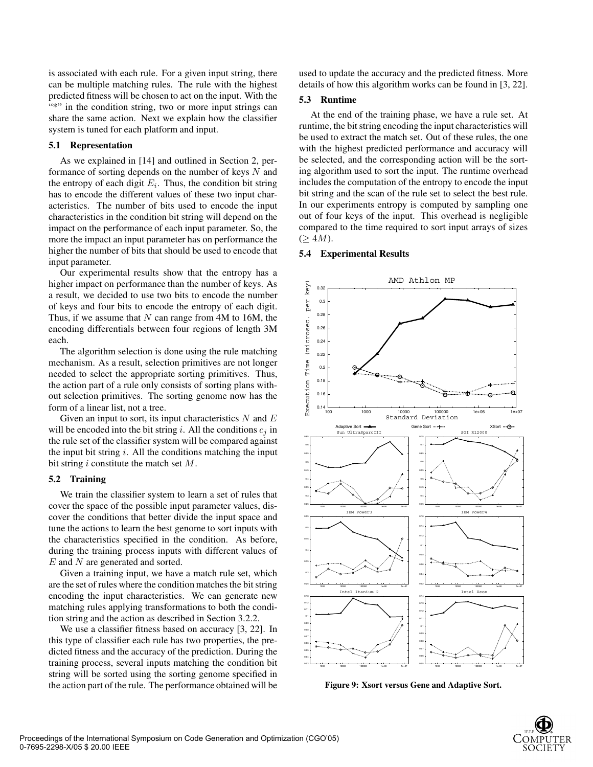is associated with each rule. For a given input string, there can be multiple matching rules. The rule with the highest predicted fitness will be chosen to act on the input. With the "\*" in the condition string, two or more input strings can share the same action. Next we explain how the classifier system is tuned for each platform and input.

#### **5.1 Representation**

As we explained in [14] and outlined in Section 2, performance of sorting depends on the number of keys  $N$  and the entropy of each digit  $E_i$ . Thus, the condition bit string has to encode the different values of these two input characteristics. The number of bits used to encode the input characteristics in the condition bit string will depend on the impact on the performance of each input parameter. So, the more the impact an input parameter has on performance the higher the number of bits that should be used to encode that input parameter.

Our experimental results show that the entropy has a higher impact on performance than the number of keys. As a result, we decided to use two bits to encode the number of keys and four bits to encode the entropy of each digit. Thus, if we assume that  $N$  can range from 4M to 16M, the encoding differentials between four regions of length 3M each.

The algorithm selection is done using the rule matching mechanism. As a result, selection primitives are not longer needed to select the appropriate sorting primitives. Thus, the action part of a rule only consists of sorting plans without selection primitives. The sorting genome now has the form of a linear list, not a tree.

Given an input to sort, its input characteristics  $N$  and  $E$ will be encoded into the bit string i. All the conditions  $c_i$  in the rule set of the classifier system will be compared against the input bit string  $i$ . All the conditions matching the input bit string  $i$  constitute the match set  $M$ .

#### **5.2 Training**

We train the classifier system to learn a set of rules that cover the space of the possible input parameter values, discover the conditions that better divide the input space and tune the actions to learn the best genome to sort inputs with the characteristics specified in the condition. As before, during the training process inputs with different values of E and N are generated and sorted.

Given a training input, we have a match rule set, which are the set of rules where the condition matches the bit string encoding the input characteristics. We can generate new matching rules applying transformations to both the condition string and the action as described in Section 3.2.2.

We use a classifier fitness based on accuracy [3, 22]. In this type of classifier each rule has two properties, the predicted fitness and the accuracy of the prediction. During the training process, several inputs matching the condition bit string will be sorted using the sorting genome specified in the action part of the rule. The performance obtained will be used to update the accuracy and the predicted fitness. More details of how this algorithm works can be found in [3, 22].

#### **5.3 Runtime**

At the end of the training phase, we have a rule set. At runtime, the bit string encoding the input characteristics will be used to extract the match set. Out of these rules, the one with the highest predicted performance and accuracy will be selected, and the corresponding action will be the sorting algorithm used to sort the input. The runtime overhead includes the computation of the entropy to encode the input bit string and the scan of the rule set to select the best rule. In our experiments entropy is computed by sampling one out of four keys of the input. This overhead is negligible compared to the time required to sort input arrays of sizes  $(\geq 4M)$ .

#### **5.4 Experimental Results**



**Figure 9: Xsort versus Gene and Adaptive Sort.**